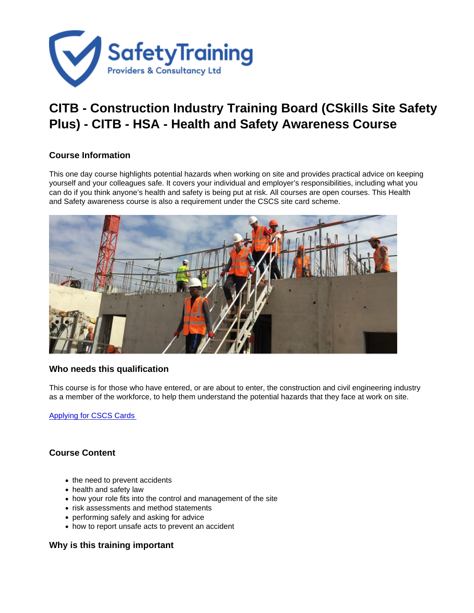## CITB - Construction Industry Training Board (CSkills Site Safety Plus) - CITB - HSA - Health and Safety Awareness Course

## Course Information

This one day course highlights potential hazards when working on site and provides practical advice on keeping yourself and your colleagues safe. It covers your individual and employer's responsibilities, including what you can do if you think anyone's health and safety is being put at risk. All courses are open courses. This Health and Safety awareness course is also a requirement under the CSCS site card scheme.

## Who needs this qualification

This course is for those who have entered, or are about to enter, the construction and civil engineering industry as a member of the workforce, to help them understand the potential hazards that they face at work on site.

[Applying for CSCS Cards](https://www.cscs.uk.com/applying-for-cards/) 

## Course Content

- the need to prevent accidents
- health and safety law
- how your role fits into the control and management of the site
- risk assessments and method statements
- performing safely and asking for advice
- how to report unsafe acts to prevent an accident

Why is this training important